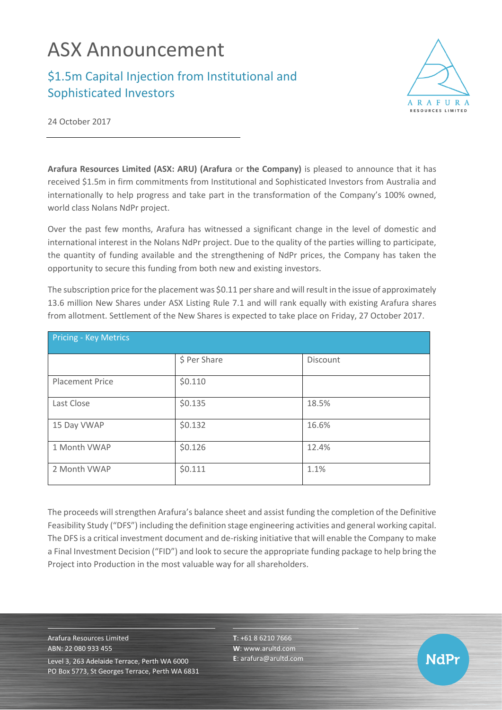# ASX Announcement

## \$1.5m Capital Injection from Institutional and Sophisticated Investors



NdPr

24 October 2017

**Arafura Resources Limited (ASX: ARU) (Arafura** or **the Company)** is pleased to announce that it has received \$1.5m in firm commitments from Institutional and Sophisticated Investors from Australia and internationally to help progress and take part in the transformation of the Company's 100% owned, world class Nolans NdPr project.

Over the past few months, Arafura has witnessed a significant change in the level of domestic and international interest in the Nolans NdPr project. Due to the quality of the parties willing to participate, the quantity of funding available and the strengthening of NdPr prices, the Company has taken the opportunity to secure this funding from both new and existing investors.

The subscription price for the placement was \$0.11 per share and will result in the issue of approximately 13.6 million New Shares under ASX Listing Rule 7.1 and will rank equally with existing Arafura shares from allotment. Settlement of the New Shares is expected to take place on Friday, 27 October 2017.

| <b>Pricing - Key Metrics</b> |              |          |
|------------------------------|--------------|----------|
|                              | \$ Per Share | Discount |
| <b>Placement Price</b>       | \$0.110      |          |
| Last Close                   | \$0.135      | 18.5%    |
| 15 Day VWAP                  | \$0.132      | 16.6%    |
| 1 Month VWAP                 | \$0.126      | 12.4%    |
| 2 Month VWAP                 | \$0.111      | 1.1%     |

The proceeds will strengthen Arafura's balance sheet and assist funding the completion of the Definitive Feasibility Study ("DFS") including the definition stage engineering activities and general working capital. The DFS is a critical investment document and de-risking initiative that will enable the Company to make a Final Investment Decision ("FID") and look to secure the appropriate funding package to help bring the Project into Production in the most valuable way for all shareholders.

Arafura Resources Limited ABN: 22 080 933 455 Level 3, 263 Adelaide Terrace, Perth WA 6000 PO Box 5773, St Georges Terrace, Perth WA 6831 **T**: +61 8 6210 7666 **W**: [www.arultd.com](http://www.arultd.com/) **E**[: arafura@arultd.com](mailto:arafura@arultd.com)